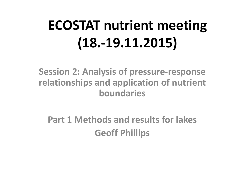# **ECOSTAT nutrient meeting (18.-19.11.2015)**

**Session 2: Analysis of pressure-response relationships and application of nutrient boundaries**

**Part 1 Methods and results for lakes Geoff Phillips**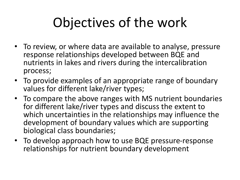# Objectives of the work

- To review, or where data are available to analyse, pressure response relationships developed between BQE and nutrients in lakes and rivers during the intercalibration process;
- To provide examples of an appropriate range of boundary values for different lake/river types;
- To compare the above ranges with MS nutrient boundaries for different lake/river types and discuss the extent to which uncertainties in the relationships may influence the development of boundary values which are supporting biological class boundaries;
- To develop approach how to use BQE pressure-response relationships for nutrient boundary development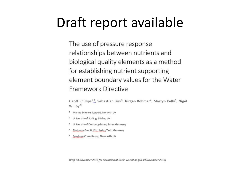### Draft report available

The use of pressure response relationships between nutrients and biological quality elements as a method for establishing nutrient supporting element boundary values for the Water Framework Directive

Geoff Phillips<sup>1,2</sup>, Sebastian Birk<sup>3</sup>, Jürgen Böhmer<sup>4</sup>, Martyn Kelly<sup>5</sup>, Nigel Willby<sup>2</sup>

- <sup>1</sup> Marine Science Support, Norwich UK
- <sup>2</sup> University of Stirling, Stirling UK
- University of Duisburg-Essen, Essen Germany 3
- Bioforum GmbH, Kirchheim/Teck, Germany 4
- Bowburn Consultancy, Newcastle UK 5

Draft 04 November 2015 for discussion at Berlin workshop (18-19 November 2015)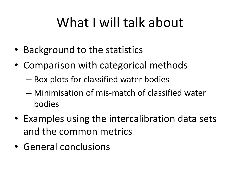# What I will talk about

- Background to the statistics
- Comparison with categorical methods
	- Box plots for classified water bodies
	- Minimisation of mis-match of classified water bodies
- Examples using the intercalibration data sets and the common metrics
- General conclusions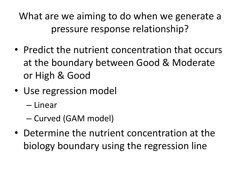What are we aiming to do when we generate a pressure response relationship?

- Predict the nutrient concentration that occurs at the boundary between Good & Moderate or High & Good
- Use regression model
	- Linear
	- Curved (GAM model)
- Determine the nutrient concentration at the biology boundary using the regression line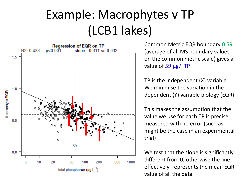## Example: Macrophytes v TP (LCB1 lakes)



Common Metric EQR boundary 0.59 (average of all MS boundary values on the common metric scale) gives a value of 59  $\mu$ g/l TP

TP is the independent (X) variable We minimise the variation in the dependent (Y) variable biology (EQR)

This makes the assumption that the value we use for each TP is precise, measured with no error (such as might be the case in an experimental trial)

We test that the slope is significantly different from 0, otherwise the line effectively represents the mean EQR value of all the data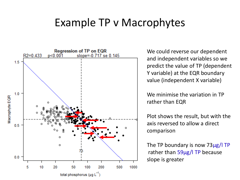#### Example TP v Macrophytes



We could reverse our dependent and independent variables so we predict the value of TP (dependent Y variable) at the EQR boundary value (independent X variable)

We minimise the variation in TP rather than EQR

Plot shows the result, but with the axis reversed to allow a direct comparison

The TP boundary is now 73µg/l TP rather than 59µg/l TP because slope is greater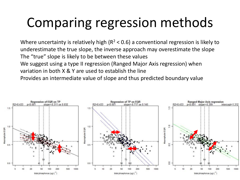# Comparing regression methods

Where uncertainty is relatively high ( $R^2$  < 0.6) a conventional regression is likely to underestimate the true slope, the inverse approach may overestimate the slope The "true" slope is likely to be between these values We suggest using a type II regression (Ranged Major Axis regression) when variation in both X & Y are used to establish the line Provides an intermediate value of slope and thus predicted boundary value

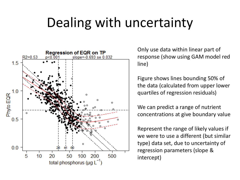# Dealing with uncertainty



Only use data within linear part of response (show using GAM model red line)

Figure shows lines bounding 50% of the data (calculated from upper lower quartiles of regression residuals)

We can predict a range of nutrient concentrations at give boundary value

Represent the range of likely values if we were to use a different (but similar type) data set, due to uncertainty of regression parameters (slope & intercept)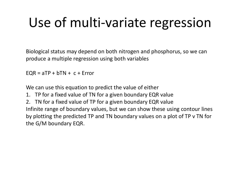# Use of multi-variate regression

Biological status may depend on both nitrogen and phosphorus, so we can produce a multiple regression using both variables

 $EQR = aTP + bTN + c + Error$ 

We can use this equation to predict the value of either

1. TP for a fixed value of TN for a given boundary EQR value

2. TN for a fixed value of TP for a given boundary EQR value Infinite range of boundary values, but we can show these using contour lines by plotting the predicted TP and TN boundary values on a plot of TP v TN for the G/M boundary EQR.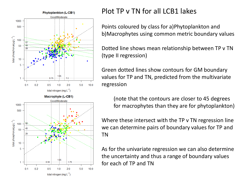

#### Plot TP v TN for all LCB1 lakes

Points coloured by class for a)Phytoplankton and b)Macrophytes using common metric boundary values

Dotted line shows mean relationship between TP v TN (type II regression)

Green dotted lines show contours for GM boundary values for TP and TN, predicted from the multivariate regression

(note that the contours are closer to 45 degrees for macrophytes than they are for phytoplankton)

Where these intersect with the TP v TN regression line we can determine pairs of boundary values for TP and TN

As for the univariate regression we can also determine the uncertainty and thus a range of boundary values for each of TP and TN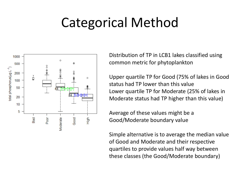# Categorical Method



Distribution of TP in LCB1 lakes classified using common metric for phytoplankton

Upper quartile TP for Good (75% of lakes in Good status had TP lower than this value Lower quartile TP for Moderate (25% of lakes in Moderate status had TP higher than this value)

Average of these values might be a Good/Moderate boundary value

Simple alternative is to average the median value of Good and Moderate and their respective quartiles to provide values half way between these classes (the Good/Moderate boundary)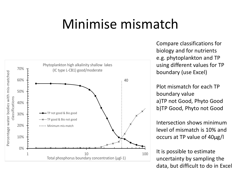#### Minimise mismatch



70% boundary (use Excel) using different values for TP  $\overline{\phantom{a}}$ Compare classifications for biology and for nutrients e.g. phytoplankton and TP

a)TP not Good, Phyto Good boundary value Percentage water bodies with a<br>Percentage with mis-<br>Interactions Plot mismatch for each TP b)TP Good, Phyto not Good

occurs at TP value of 40µg/l  $\sum_{i=1}^{n}$ Intersection shows minimum  $\sim$   $\sim$   $\sim$   $\sim$   $\sim$   $\sim$   $\sim$   $\sim$ level of mismatch is 10% and

It is possible to estimate 1 10 100 uncertainty by sampling the data, but difficult to do in Excel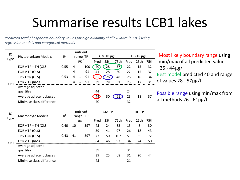## Summarise results LCB1 lakes

*Predicted total phosphorus boundary values for high alkalinity shallow lakes (L-CB1) using regression models and categorical methods*

| IC<br><b>Type</b> | Phytoplankton Models      | R <sup>2</sup> | nutrient<br>range TP   |                          |      | GM TP $\mu$ gl <sup>-1</sup> |      |      | HG TP $\mu$ gl <sup>-1</sup> |      |    |  |
|-------------------|---------------------------|----------------|------------------------|--------------------------|------|------------------------------|------|------|------------------------------|------|----|--|
|                   |                           |                | $\mu$ gl <sup>-1</sup> |                          | Pred | 25th                         | 75th | Pred | 25th                         | 75th |    |  |
| LCB1              | EQR v TP + TN (OLS)       | 0.55           | 4                      |                          | 100  | 40                           | 28   | 57)  | 22                           | 15   | 32 |  |
|                   | EQR v TP (OLS)            |                | 4                      |                          | 91   | 41                           | 28   | 60   | 22                           | 15   | 32 |  |
|                   | TP v EQR (OLS)            | 0.53           | 4                      | $\overline{\phantom{a}}$ | 91   | 35                           | 26   | 48   | 25                           | 18   | 34 |  |
|                   | EQR v TP (RMA)            |                | 4                      |                          | 91   | 39                           | 28   | 51   | 23                           | 17   | 31 |  |
|                   | Average adjacent          |                |                        |                          |      |                              |      |      |                              |      |    |  |
|                   | quartiles                 |                |                        |                          |      | 44                           |      |      | 24                           |      |    |  |
|                   | Average adjacent classes  |                |                        |                          |      | 44                           | 30   |      | 23                           | 18   | 37 |  |
|                   | Minimise class difference |                |                        |                          |      | 40                           |      |      | 32                           |      |    |  |

Most likely boundary range using min/max of all predicted values 35 - 44µg/l Best model predicted 40 and range of values 28 - 57µg/l

Possible range using min/max from all methods 26 - 61µg/l

| IC          |                           |                | nutrient<br>range TP   |                          |     | <b>GM TP</b> |      |      | HG TP |      |      |
|-------------|---------------------------|----------------|------------------------|--------------------------|-----|--------------|------|------|-------|------|------|
| <b>Type</b> | Macrophyte Models         | R <sup>2</sup> |                        |                          |     |              |      |      |       |      |      |
|             |                           |                | $\mu$ gl <sup>-1</sup> |                          |     | Pred         | 25th | 75th | Pred  | 25th | 75th |
| LCB1        | EQR v TP + TN (OLS)       | 0.40           | 10                     | $\overline{\phantom{a}}$ | 597 | 45           | 24   | 82   | 15    | 8    | 30   |
|             | EQR v TP (OLS)            |                |                        |                          |     | 59           | 41   | 97   | 26    | 18   | 43   |
|             | TP v EQR (OLS)            | 0.43           | 41                     | $\overline{\phantom{a}}$ | 597 | 73           | 50   | 102  | 51    | 35   | 72   |
|             | EQR v TP (RMA)            |                |                        |                          |     | 64           | 46   | 93   | 34    | 24   | 50   |
|             | Average adjacent          |                |                        |                          |     |              |      |      |       |      |      |
|             | quartiles                 |                |                        |                          |     | 39           |      |      | 31    |      |      |
|             | Average adjacent classes  |                |                        |                          |     | 39           | 25   | 68   | 31    | 20   | 44   |
|             | Minimise class difference |                |                        |                          |     | 45           |      |      | 21    |      |      |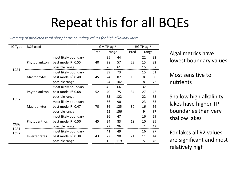# Repeat this for all BQEs

*Summary of predicted total phosphorus boundary values for high alkalinity lakes*

| IC Type                  | <b>BQE</b> used |                       |      | GM TP $\mu$ gl <sup>-1</sup> |                                                      |      | HG TP $\mu$ gl <sup>-1</sup> |    |  |
|--------------------------|-----------------|-----------------------|------|------------------------------|------------------------------------------------------|------|------------------------------|----|--|
|                          |                 |                       | Pred | range                        |                                                      | Pred | range                        |    |  |
|                          |                 | most likely boundary  |      | 35                           | 44                                                   |      | 22                           | 32 |  |
|                          | Phytoplankton   | best model $R^2$ 0.55 | 40   | 28                           | 57                                                   | 22   | 15                           | 32 |  |
| LCB1                     |                 | possible range        |      | 26                           | 61                                                   |      | 15                           | 37 |  |
|                          |                 | most likely boundary  |      | 39                           | 73                                                   |      | 15                           | 51 |  |
|                          | Macrophytes     | best model $R^2$ 0.40 | 45   | 24                           | 82                                                   | 15   | 8                            | 30 |  |
|                          |                 | possible range        |      | 24                           | 102                                                  |      | 8                            | 72 |  |
|                          |                 | most likely boundary  |      | 45                           | 66                                                   |      | 32                           | 35 |  |
|                          | Phytoplankton   | best model $R^2$ 0.68 | 52   | 40                           | 75                                                   | 34   | 27                           | 42 |  |
|                          |                 | possible range        |      | 35                           | 122                                                  |      | 22                           | 55 |  |
| LCB <sub>2</sub>         |                 | most likely boundary  |      | 66                           | 90                                                   |      | 23                           | 53 |  |
|                          | Macrophytes     | best model $R^2$ 0.47 | 70   | 36                           | 125                                                  | 30   | 16                           | 56 |  |
|                          |                 | possible range        |      | 25                           | 156<br>47<br>83<br>19<br>96<br>49<br>21<br>90<br>119 | 9    | 87                           |    |  |
|                          |                 | most likely boundary  |      | 36                           |                                                      |      | 16                           | 29 |  |
|                          | Phytobenthos    | best model $R^2$ 0.50 | 45   | 24                           |                                                      |      | 10                           | 35 |  |
| <b>XGIG</b>              |                 | possible range        |      | 22                           |                                                      |      | 7                            | 42 |  |
| LCB1<br>LCB <sub>2</sub> |                 | most likely boundary  |      | 41                           |                                                      |      | 16                           | 27 |  |
|                          | Invertebrates   | best model $R^2$ 0.38 | 43   | 22                           |                                                      |      | 11                           | 44 |  |
|                          |                 | possible range        |      | 15                           |                                                      |      | 5                            | 48 |  |

Algal metrics have lowest boundary values

Most sensitive to nutrients

Shallow high alkalinity lakes have higher TP boundaries than very shallow lakes

For lakes all R2 values are significant and most relatively high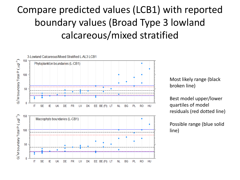#### Compare predicted values (LCB1) with reported boundary values (Broad Type 3 lowland calcareous/mixed stratified



Most likely range (black broken line)

Best model upper/lower quartiles of model residuals (red dotted line)

Possible range (blue solid line)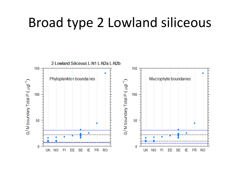#### Broad type 2 Lowland siliceous

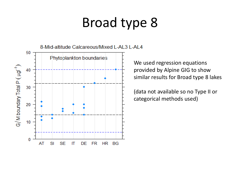# Broad type 8



We used regression equations provided by Alpine GIG to show similar results for Broad type 8 lakes

(data not available so no Type II or categorical methods used)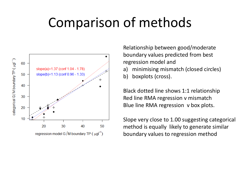#### Comparison of methods



Relationship between good/moderate boundary values predicted from best regression model and

- a) minimising mismatch (closed circles)
- b) boxplots (cross).

Black dotted line shows 1:1 relationship Red line RMA regression v mismatch Blue line RMA regression v box plots.

Slope very close to 1.00 suggesting categorical method is equally likely to generate similar boundary values to regression method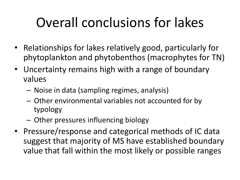# Overall conclusions for lakes

- Relationships for lakes relatively good, particularly for phytoplankton and phytobenthos (macrophytes for TN)
- Uncertainty remains high with a range of boundary values
	- Noise in data (sampling regimes, analysis)
	- Other environmental variables not accounted for by typology
	- Other pressures influencing biology
- Pressure/response and categorical methods of IC data suggest that majority of MS have established boundary value that fall within the most likely or possible ranges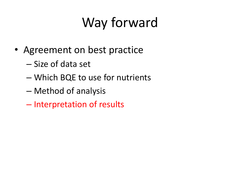# Way forward

- Agreement on best practice
	- Size of data set
	- Which BQE to use for nutrients
	- Method of analysis
	- Interpretation of results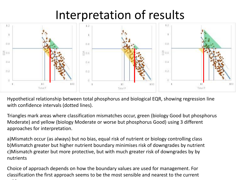#### Interpretation of results



Hypothetical relationship between total phosphorus and biological EQR, showing regression line with confidence intervals (dotted lines).

Triangles mark areas where classification mismatches occur, green (biology Good but phosphorus Moderate) and yellow (biology Moderate or worse but phosphorus Good) using 3 different approaches for interpretation.

a)Mismatch occur (as always) but no bias, equal risk of nutrient or biology controlling class b)Mismatch greater but higher nutrient boundary minimises risk of downgrades by nutrient c)Mismatch greater but more protective, but with much greater risk of downgrades by by nutrients

Choice of approach depends on how the boundary values are used for management. For classification the first approach seems to be the most sensible and nearest to the current guidance and a series of the series of the series of the series of the series of the series of the series of the